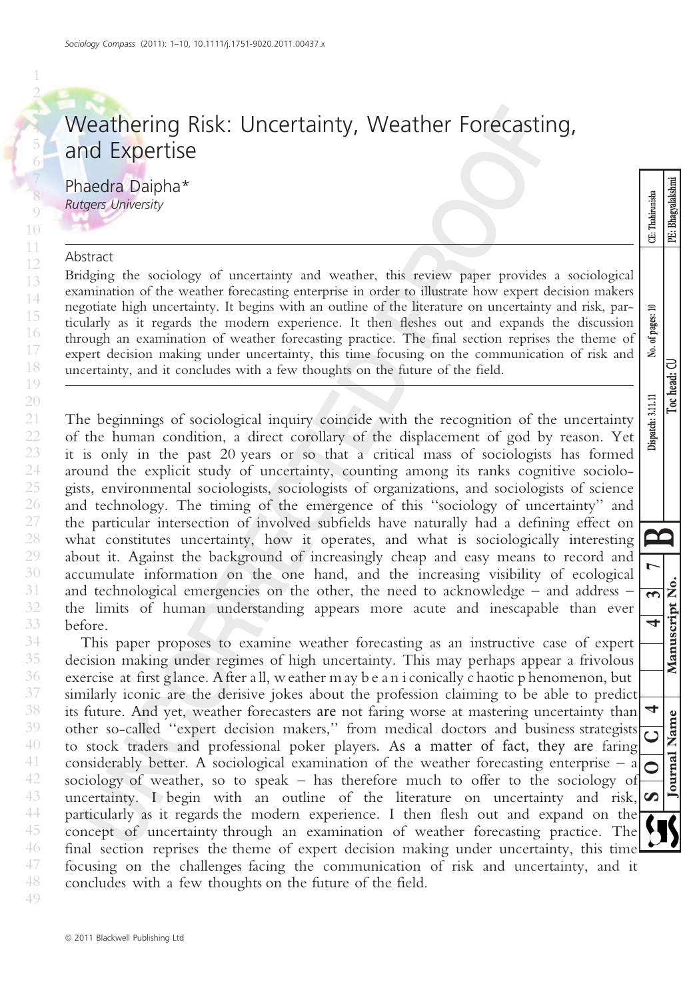# Weathering Risk: Uncertainty, Weather Forecasting, and Expertise

Phaedra Daipha\* Rutgers University

#### Abstract

1

Bridging the sociology of uncertainty and weather, this review paper provides a sociological examination of the weather forecasting enterprise in order to illustrate how expert decision makers negotiate high uncertainty. It begins with an outline of the literature on uncertainty and risk, particularly as it regards the modern experience. It then fleshes out and expands the discussion through an examination of weather forecasting practice. The final section reprises the theme of expert decision making under uncertainty, this time focusing on the communication of risk and uncertainty, and it concludes with a few thoughts on the future of the field.

The beginnings of sociological inquiry coincide with the recognition of the uncertainty of the human condition, a direct corollary of the displacement of god by reason. Yet it is only in the past 20 years or so that a critical mass of sociologists has formed around the explicit study of uncertainty, counting among its ranks cognitive sociologists, environmental sociologists, sociologists of organizations, and sociologists of science and technology. The timing of the emergence of this ''sociology of uncertainty'' and the particular intersection of involved subfields have naturally had a defining effect on what constitutes uncertainty, how it operates, and what is sociologically interesting about it. Against the background of increasingly cheap and easy means to record and accumulate information on the one hand, and the increasing visibility of ecological and technological emergencies on the other, the need to acknowledge – and address – the limits of human understanding appears more acute and inescapable than ever before.

This paper proposes to examine weather forecasting as an instructive case of expert decision making under regimes of high uncertainty. This may perhaps appear a frivolous exercise at first g lance. A fter a ll, w eather m ay b e a n i conically c haotic p henomenon, but similarly iconic are the derisive jokes about the profession claiming to be able to predict its future. And yet, weather forecasters are not faring worse at mastering uncertainty than other so-called ''expert decision makers,'' from medical doctors and business strategists to stock traders and professional poker players. As a matter of fact, they are faring considerably better. A sociological examination of the weather forecasting enterprise – a sociology of weather, so to speak – has therefore much to offer to the sociology of uncertainty. I begin with an outline of the literature on uncertainty and risk, particularly as it regards the modern experience. I then flesh out and expand on the concept of uncertainty through an examination of weather forecasting practice. The final section reprises the theme of expert decision making under uncertainty, this time focusing on the challenges facing the communication of risk and uncertainty, and it concludes with a few thoughts on the future of the field.

 $\boldsymbol{\Xi}$ 

。<br>No  $\overline{\mathfrak{r}}$ 

Manuscript 4

Name

**Journal** 

Dispatch: 3.11.11 No. of pages: 10 CE: Thahirunisha<br>Toc head: CU<br>PE: Bhagyalaks

oc head:

pages: 10 ್ರ ۶ġ,

Dispatch: 3.11.11

Bhagyalakshm CE: Thahirunisha

Journal Name Manuscript No. No. Toc head: CU PE: Bhagyalakshmi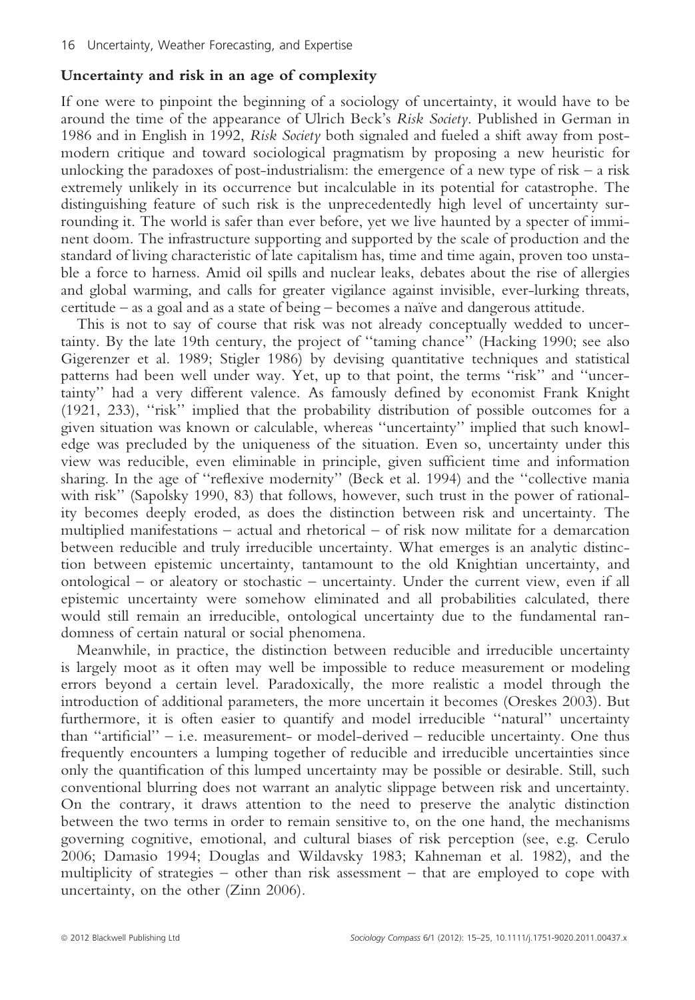## Uncertainty and risk in an age of complexity

If one were to pinpoint the beginning of a sociology of uncertainty, it would have to be around the time of the appearance of Ulrich Beck's Risk Society. Published in German in 1986 and in English in 1992, Risk Society both signaled and fueled a shift away from postmodern critique and toward sociological pragmatism by proposing a new heuristic for unlocking the paradoxes of post-industrialism: the emergence of a new type of risk  $-$  a risk extremely unlikely in its occurrence but incalculable in its potential for catastrophe. The distinguishing feature of such risk is the unprecedentedly high level of uncertainty surrounding it. The world is safer than ever before, yet we live haunted by a specter of imminent doom. The infrastructure supporting and supported by the scale of production and the standard of living characteristic of late capitalism has, time and time again, proven too unstable a force to harness. Amid oil spills and nuclear leaks, debates about the rise of allergies and global warming, and calls for greater vigilance against invisible, ever-lurking threats,  $c$ ertitude – as a goal and as a state of being – becomes a naïve and dangerous attitude.

This is not to say of course that risk was not already conceptually wedded to uncertainty. By the late 19th century, the project of ''taming chance'' (Hacking 1990; see also Gigerenzer et al. 1989; Stigler 1986) by devising quantitative techniques and statistical patterns had been well under way. Yet, up to that point, the terms ''risk'' and ''uncertainty'' had a very different valence. As famously defined by economist Frank Knight (1921, 233), ''risk'' implied that the probability distribution of possible outcomes for a given situation was known or calculable, whereas ''uncertainty'' implied that such knowledge was precluded by the uniqueness of the situation. Even so, uncertainty under this view was reducible, even eliminable in principle, given sufficient time and information sharing. In the age of ''reflexive modernity'' (Beck et al. 1994) and the ''collective mania with risk'' (Sapolsky 1990, 83) that follows, however, such trust in the power of rationality becomes deeply eroded, as does the distinction between risk and uncertainty. The multiplied manifestations  $-$  actual and rhetorical  $-$  of risk now militate for a demarcation between reducible and truly irreducible uncertainty. What emerges is an analytic distinction between epistemic uncertainty, tantamount to the old Knightian uncertainty, and ontological – or aleatory or stochastic – uncertainty. Under the current view, even if all epistemic uncertainty were somehow eliminated and all probabilities calculated, there would still remain an irreducible, ontological uncertainty due to the fundamental randomness of certain natural or social phenomena.

Meanwhile, in practice, the distinction between reducible and irreducible uncertainty is largely moot as it often may well be impossible to reduce measurement or modeling errors beyond a certain level. Paradoxically, the more realistic a model through the introduction of additional parameters, the more uncertain it becomes (Oreskes 2003). But furthermore, it is often easier to quantify and model irreducible ''natural'' uncertainty than ''artificial'' – i.e. measurement- or model-derived – reducible uncertainty. One thus frequently encounters a lumping together of reducible and irreducible uncertainties since only the quantification of this lumped uncertainty may be possible or desirable. Still, such conventional blurring does not warrant an analytic slippage between risk and uncertainty. On the contrary, it draws attention to the need to preserve the analytic distinction between the two terms in order to remain sensitive to, on the one hand, the mechanisms governing cognitive, emotional, and cultural biases of risk perception (see, e.g. Cerulo 2006; Damasio 1994; Douglas and Wildavsky 1983; Kahneman et al. 1982), and the multiplicity of strategies – other than risk assessment – that are employed to cope with uncertainty, on the other (Zinn 2006).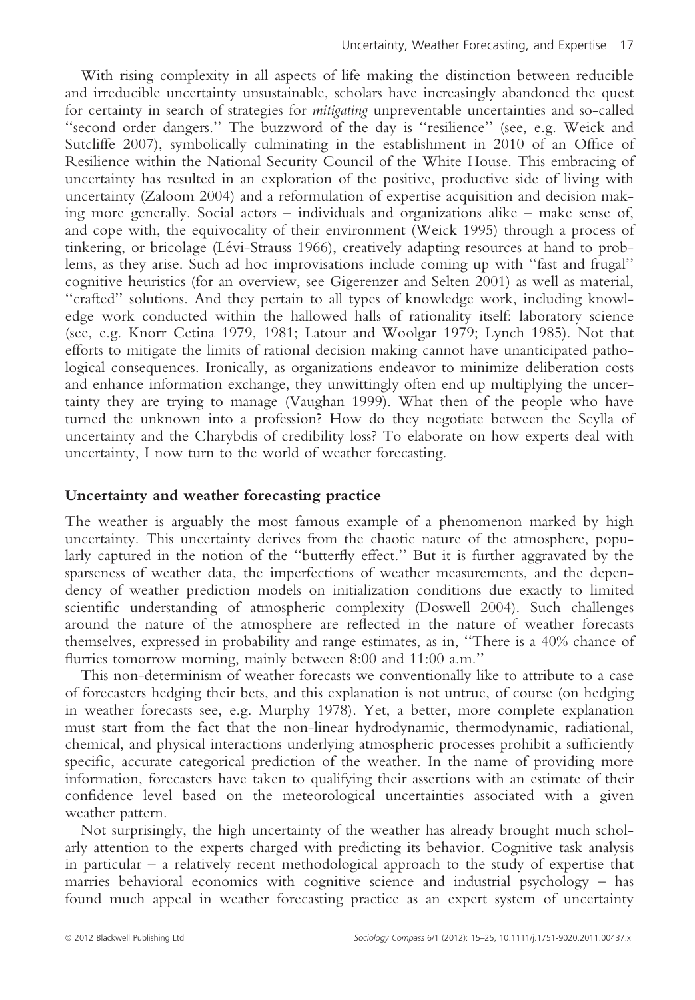With rising complexity in all aspects of life making the distinction between reducible and irreducible uncertainty unsustainable, scholars have increasingly abandoned the quest for certainty in search of strategies for mitigating unpreventable uncertainties and so-called ''second order dangers.'' The buzzword of the day is ''resilience'' (see, e.g. Weick and Sutcliffe 2007), symbolically culminating in the establishment in 2010 of an Office of Resilience within the National Security Council of the White House. This embracing of uncertainty has resulted in an exploration of the positive, productive side of living with uncertainty (Zaloom 2004) and a reformulation of expertise acquisition and decision making more generally. Social actors – individuals and organizations alike – make sense of, and cope with, the equivocality of their environment (Weick 1995) through a process of tinkering, or bricolage (Lévi-Strauss 1966), creatively adapting resources at hand to problems, as they arise. Such ad hoc improvisations include coming up with ''fast and frugal'' cognitive heuristics (for an overview, see Gigerenzer and Selten 2001) as well as material, ''crafted'' solutions. And they pertain to all types of knowledge work, including knowledge work conducted within the hallowed halls of rationality itself: laboratory science (see, e.g. Knorr Cetina 1979, 1981; Latour and Woolgar 1979; Lynch 1985). Not that efforts to mitigate the limits of rational decision making cannot have unanticipated pathological consequences. Ironically, as organizations endeavor to minimize deliberation costs and enhance information exchange, they unwittingly often end up multiplying the uncertainty they are trying to manage (Vaughan 1999). What then of the people who have turned the unknown into a profession? How do they negotiate between the Scylla of uncertainty and the Charybdis of credibility loss? To elaborate on how experts deal with uncertainty, I now turn to the world of weather forecasting.

### Uncertainty and weather forecasting practice

The weather is arguably the most famous example of a phenomenon marked by high uncertainty. This uncertainty derives from the chaotic nature of the atmosphere, popularly captured in the notion of the ''butterfly effect.'' But it is further aggravated by the sparseness of weather data, the imperfections of weather measurements, and the dependency of weather prediction models on initialization conditions due exactly to limited scientific understanding of atmospheric complexity (Doswell 2004). Such challenges around the nature of the atmosphere are reflected in the nature of weather forecasts themselves, expressed in probability and range estimates, as in, ''There is a 40% chance of flurries tomorrow morning, mainly between 8:00 and 11:00 a.m."

This non-determinism of weather forecasts we conventionally like to attribute to a case of forecasters hedging their bets, and this explanation is not untrue, of course (on hedging in weather forecasts see, e.g. Murphy 1978). Yet, a better, more complete explanation must start from the fact that the non-linear hydrodynamic, thermodynamic, radiational, chemical, and physical interactions underlying atmospheric processes prohibit a sufficiently specific, accurate categorical prediction of the weather. In the name of providing more information, forecasters have taken to qualifying their assertions with an estimate of their confidence level based on the meteorological uncertainties associated with a given weather pattern.

Not surprisingly, the high uncertainty of the weather has already brought much scholarly attention to the experts charged with predicting its behavior. Cognitive task analysis in particular – a relatively recent methodological approach to the study of expertise that marries behavioral economics with cognitive science and industrial psychology – has found much appeal in weather forecasting practice as an expert system of uncertainty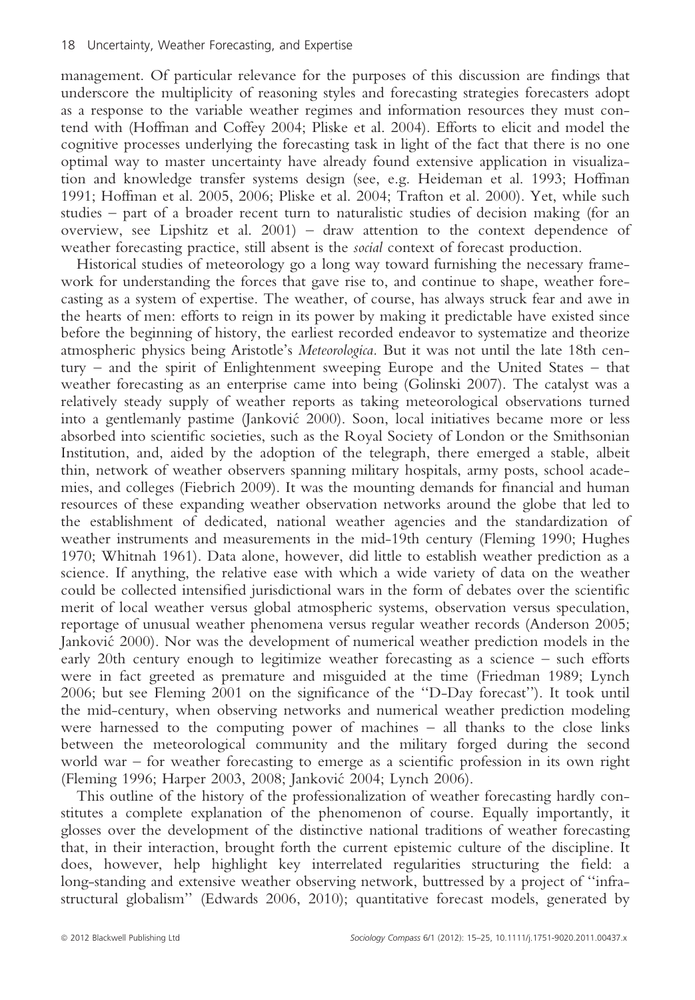management. Of particular relevance for the purposes of this discussion are findings that underscore the multiplicity of reasoning styles and forecasting strategies forecasters adopt as a response to the variable weather regimes and information resources they must contend with (Hoffman and Coffey 2004; Pliske et al. 2004). Efforts to elicit and model the cognitive processes underlying the forecasting task in light of the fact that there is no one optimal way to master uncertainty have already found extensive application in visualization and knowledge transfer systems design (see, e.g. Heideman et al. 1993; Hoffman 1991; Hoffman et al. 2005, 2006; Pliske et al. 2004; Trafton et al. 2000). Yet, while such studies – part of a broader recent turn to naturalistic studies of decision making (for an overview, see Lipshitz et al. 2001) – draw attention to the context dependence of weather forecasting practice, still absent is the social context of forecast production.

Historical studies of meteorology go a long way toward furnishing the necessary framework for understanding the forces that gave rise to, and continue to shape, weather forecasting as a system of expertise. The weather, of course, has always struck fear and awe in the hearts of men: efforts to reign in its power by making it predictable have existed since before the beginning of history, the earliest recorded endeavor to systematize and theorize atmospheric physics being Aristotle's Meteorologica. But it was not until the late 18th century – and the spirit of Enlightenment sweeping Europe and the United States – that weather forecasting as an enterprise came into being (Golinski 2007). The catalyst was a relatively steady supply of weather reports as taking meteorological observations turned into a gentlemanly pastime (Jankovic´ 2000). Soon, local initiatives became more or less absorbed into scientific societies, such as the Royal Society of London or the Smithsonian Institution, and, aided by the adoption of the telegraph, there emerged a stable, albeit thin, network of weather observers spanning military hospitals, army posts, school academies, and colleges (Fiebrich 2009). It was the mounting demands for financial and human resources of these expanding weather observation networks around the globe that led to the establishment of dedicated, national weather agencies and the standardization of weather instruments and measurements in the mid-19th century (Fleming 1990; Hughes 1970; Whitnah 1961). Data alone, however, did little to establish weather prediction as a science. If anything, the relative ease with which a wide variety of data on the weather could be collected intensified jurisdictional wars in the form of debates over the scientific merit of local weather versus global atmospheric systems, observation versus speculation, reportage of unusual weather phenomena versus regular weather records (Anderson 2005; Jankovic´ 2000). Nor was the development of numerical weather prediction models in the early 20th century enough to legitimize weather forecasting as a science – such efforts were in fact greeted as premature and misguided at the time (Friedman 1989; Lynch 2006; but see Fleming 2001 on the significance of the ''D-Day forecast''). It took until the mid-century, when observing networks and numerical weather prediction modeling were harnessed to the computing power of machines – all thanks to the close links between the meteorological community and the military forged during the second world war – for weather forecasting to emerge as a scientific profession in its own right (Fleming 1996; Harper 2003, 2008; Jankovic´ 2004; Lynch 2006).

This outline of the history of the professionalization of weather forecasting hardly constitutes a complete explanation of the phenomenon of course. Equally importantly, it glosses over the development of the distinctive national traditions of weather forecasting that, in their interaction, brought forth the current epistemic culture of the discipline. It does, however, help highlight key interrelated regularities structuring the field: a long-standing and extensive weather observing network, buttressed by a project of ''infrastructural globalism'' (Edwards 2006, 2010); quantitative forecast models, generated by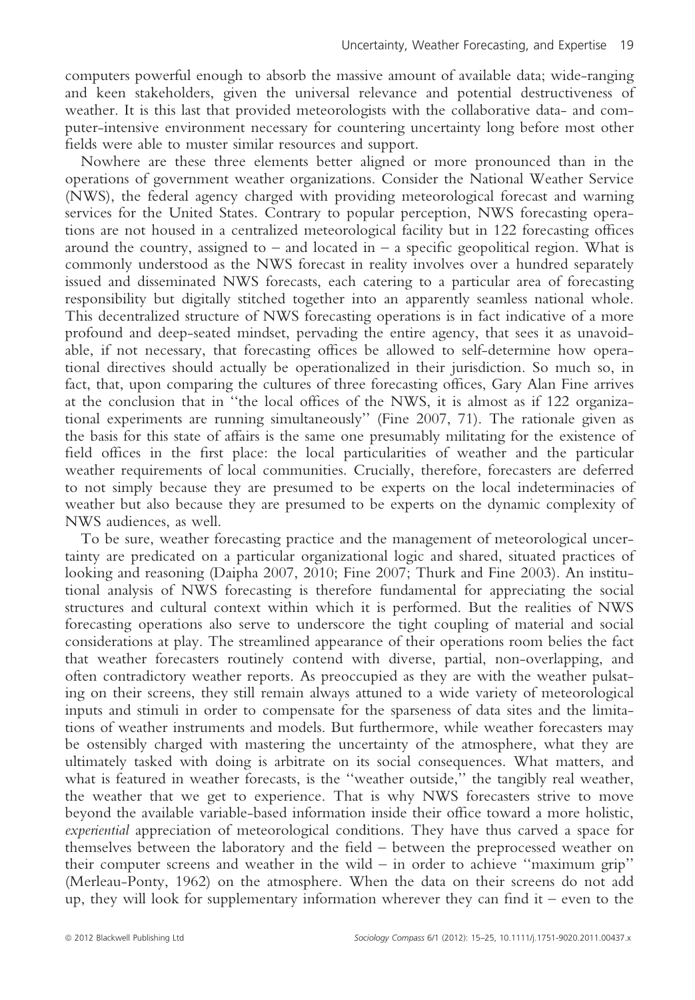computers powerful enough to absorb the massive amount of available data; wide-ranging and keen stakeholders, given the universal relevance and potential destructiveness of weather. It is this last that provided meteorologists with the collaborative data- and computer-intensive environment necessary for countering uncertainty long before most other fields were able to muster similar resources and support.

Nowhere are these three elements better aligned or more pronounced than in the operations of government weather organizations. Consider the National Weather Service (NWS), the federal agency charged with providing meteorological forecast and warning services for the United States. Contrary to popular perception, NWS forecasting operations are not housed in a centralized meteorological facility but in 122 forecasting offices around the country, assigned to  $-$  and located in  $-$  a specific geopolitical region. What is commonly understood as the NWS forecast in reality involves over a hundred separately issued and disseminated NWS forecasts, each catering to a particular area of forecasting responsibility but digitally stitched together into an apparently seamless national whole. This decentralized structure of NWS forecasting operations is in fact indicative of a more profound and deep-seated mindset, pervading the entire agency, that sees it as unavoidable, if not necessary, that forecasting offices be allowed to self-determine how operational directives should actually be operationalized in their jurisdiction. So much so, in fact, that, upon comparing the cultures of three forecasting offices, Gary Alan Fine arrives at the conclusion that in ''the local offices of the NWS, it is almost as if 122 organizational experiments are running simultaneously'' (Fine 2007, 71). The rationale given as the basis for this state of affairs is the same one presumably militating for the existence of field offices in the first place: the local particularities of weather and the particular weather requirements of local communities. Crucially, therefore, forecasters are deferred to not simply because they are presumed to be experts on the local indeterminacies of weather but also because they are presumed to be experts on the dynamic complexity of NWS audiences, as well.

To be sure, weather forecasting practice and the management of meteorological uncertainty are predicated on a particular organizational logic and shared, situated practices of looking and reasoning (Daipha 2007, 2010; Fine 2007; Thurk and Fine 2003). An institutional analysis of NWS forecasting is therefore fundamental for appreciating the social structures and cultural context within which it is performed. But the realities of NWS forecasting operations also serve to underscore the tight coupling of material and social considerations at play. The streamlined appearance of their operations room belies the fact that weather forecasters routinely contend with diverse, partial, non-overlapping, and often contradictory weather reports. As preoccupied as they are with the weather pulsating on their screens, they still remain always attuned to a wide variety of meteorological inputs and stimuli in order to compensate for the sparseness of data sites and the limitations of weather instruments and models. But furthermore, while weather forecasters may be ostensibly charged with mastering the uncertainty of the atmosphere, what they are ultimately tasked with doing is arbitrate on its social consequences. What matters, and what is featured in weather forecasts, is the ''weather outside,'' the tangibly real weather, the weather that we get to experience. That is why NWS forecasters strive to move beyond the available variable-based information inside their office toward a more holistic, experiential appreciation of meteorological conditions. They have thus carved a space for themselves between the laboratory and the field – between the preprocessed weather on their computer screens and weather in the wild – in order to achieve ''maximum grip'' (Merleau-Ponty, 1962) on the atmosphere. When the data on their screens do not add up, they will look for supplementary information wherever they can find it – even to the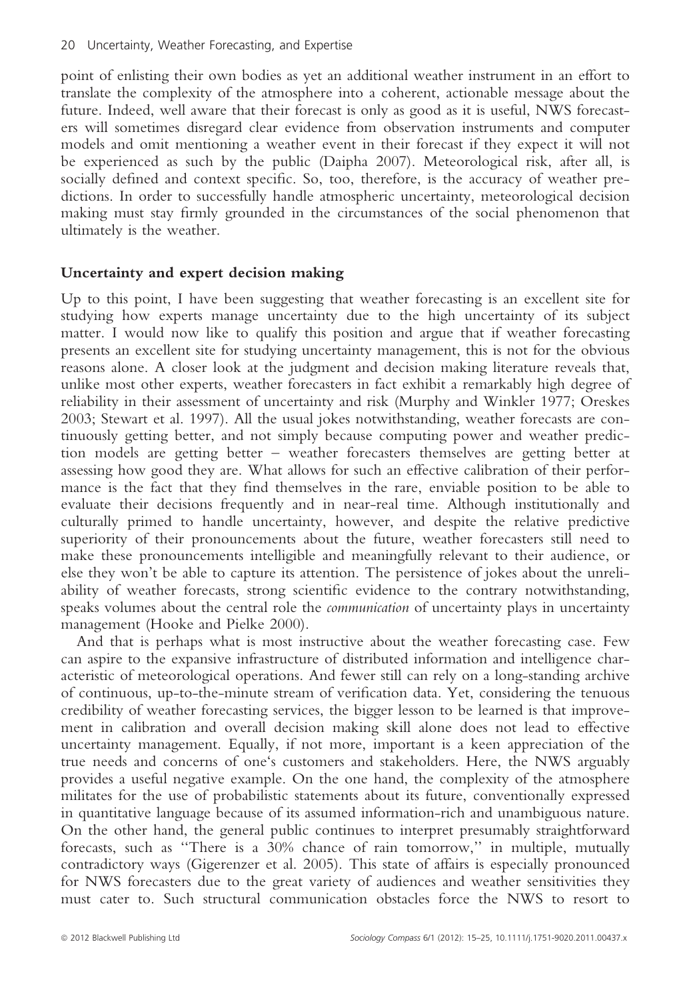point of enlisting their own bodies as yet an additional weather instrument in an effort to translate the complexity of the atmosphere into a coherent, actionable message about the future. Indeed, well aware that their forecast is only as good as it is useful, NWS forecasters will sometimes disregard clear evidence from observation instruments and computer models and omit mentioning a weather event in their forecast if they expect it will not be experienced as such by the public (Daipha 2007). Meteorological risk, after all, is socially defined and context specific. So, too, therefore, is the accuracy of weather predictions. In order to successfully handle atmospheric uncertainty, meteorological decision making must stay firmly grounded in the circumstances of the social phenomenon that ultimately is the weather.

# Uncertainty and expert decision making

Up to this point, I have been suggesting that weather forecasting is an excellent site for studying how experts manage uncertainty due to the high uncertainty of its subject matter. I would now like to qualify this position and argue that if weather forecasting presents an excellent site for studying uncertainty management, this is not for the obvious reasons alone. A closer look at the judgment and decision making literature reveals that, unlike most other experts, weather forecasters in fact exhibit a remarkably high degree of reliability in their assessment of uncertainty and risk (Murphy and Winkler 1977; Oreskes 2003; Stewart et al. 1997). All the usual jokes notwithstanding, weather forecasts are continuously getting better, and not simply because computing power and weather prediction models are getting better – weather forecasters themselves are getting better at assessing how good they are. What allows for such an effective calibration of their performance is the fact that they find themselves in the rare, enviable position to be able to evaluate their decisions frequently and in near-real time. Although institutionally and culturally primed to handle uncertainty, however, and despite the relative predictive superiority of their pronouncements about the future, weather forecasters still need to make these pronouncements intelligible and meaningfully relevant to their audience, or else they won't be able to capture its attention. The persistence of jokes about the unreliability of weather forecasts, strong scientific evidence to the contrary notwithstanding, speaks volumes about the central role the *communication* of uncertainty plays in uncertainty management (Hooke and Pielke 2000).

And that is perhaps what is most instructive about the weather forecasting case. Few can aspire to the expansive infrastructure of distributed information and intelligence characteristic of meteorological operations. And fewer still can rely on a long-standing archive of continuous, up-to-the-minute stream of verification data. Yet, considering the tenuous credibility of weather forecasting services, the bigger lesson to be learned is that improvement in calibration and overall decision making skill alone does not lead to effective uncertainty management. Equally, if not more, important is a keen appreciation of the true needs and concerns of one's customers and stakeholders. Here, the NWS arguably provides a useful negative example. On the one hand, the complexity of the atmosphere militates for the use of probabilistic statements about its future, conventionally expressed in quantitative language because of its assumed information-rich and unambiguous nature. On the other hand, the general public continues to interpret presumably straightforward forecasts, such as ''There is a 30% chance of rain tomorrow,'' in multiple, mutually contradictory ways (Gigerenzer et al. 2005). This state of affairs is especially pronounced for NWS forecasters due to the great variety of audiences and weather sensitivities they must cater to. Such structural communication obstacles force the NWS to resort to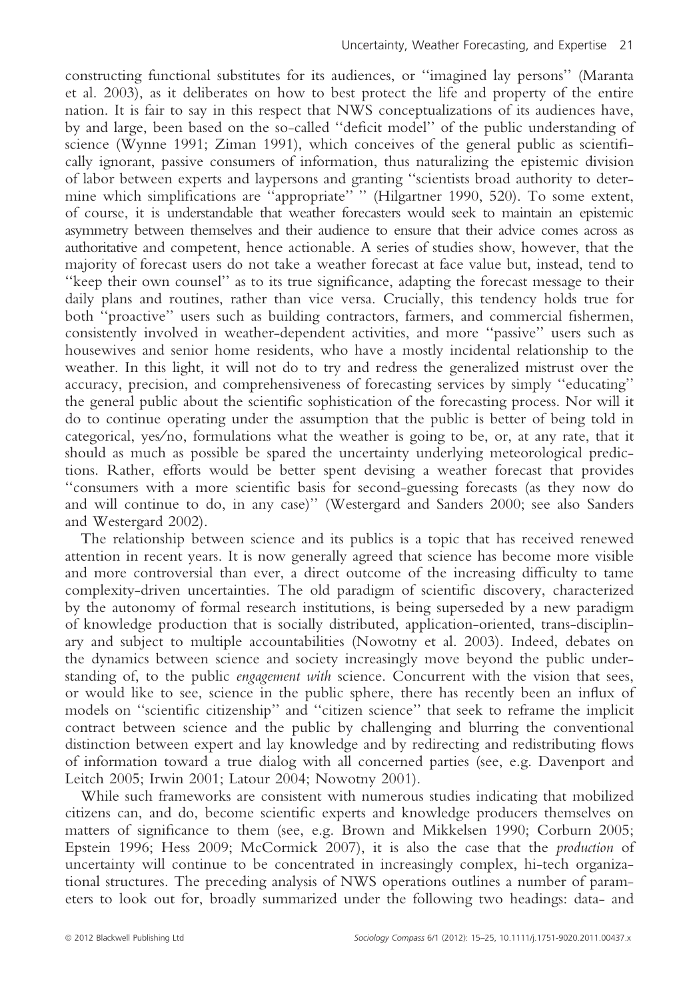constructing functional substitutes for its audiences, or ''imagined lay persons'' (Maranta et al. 2003), as it deliberates on how to best protect the life and property of the entire nation. It is fair to say in this respect that NWS conceptualizations of its audiences have, by and large, been based on the so-called ''deficit model'' of the public understanding of science (Wynne 1991; Ziman 1991), which conceives of the general public as scientifically ignorant, passive consumers of information, thus naturalizing the epistemic division of labor between experts and laypersons and granting ''scientists broad authority to determine which simplifications are "appropriate" " (Hilgartner 1990, 520). To some extent, of course, it is understandable that weather forecasters would seek to maintain an epistemic asymmetry between themselves and their audience to ensure that their advice comes across as authoritative and competent, hence actionable. A series of studies show, however, that the majority of forecast users do not take a weather forecast at face value but, instead, tend to ''keep their own counsel'' as to its true significance, adapting the forecast message to their daily plans and routines, rather than vice versa. Crucially, this tendency holds true for both ''proactive'' users such as building contractors, farmers, and commercial fishermen, consistently involved in weather-dependent activities, and more ''passive'' users such as housewives and senior home residents, who have a mostly incidental relationship to the weather. In this light, it will not do to try and redress the generalized mistrust over the accuracy, precision, and comprehensiveness of forecasting services by simply ''educating'' the general public about the scientific sophistication of the forecasting process. Nor will it do to continue operating under the assumption that the public is better of being told in categorical, yes⁄no, formulations what the weather is going to be, or, at any rate, that it should as much as possible be spared the uncertainty underlying meteorological predictions. Rather, efforts would be better spent devising a weather forecast that provides ''consumers with a more scientific basis for second-guessing forecasts (as they now do and will continue to do, in any case)'' (Westergard and Sanders 2000; see also Sanders and Westergard 2002).

The relationship between science and its publics is a topic that has received renewed attention in recent years. It is now generally agreed that science has become more visible and more controversial than ever, a direct outcome of the increasing difficulty to tame complexity-driven uncertainties. The old paradigm of scientific discovery, characterized by the autonomy of formal research institutions, is being superseded by a new paradigm of knowledge production that is socially distributed, application-oriented, trans-disciplinary and subject to multiple accountabilities (Nowotny et al. 2003). Indeed, debates on the dynamics between science and society increasingly move beyond the public understanding of, to the public engagement with science. Concurrent with the vision that sees, or would like to see, science in the public sphere, there has recently been an influx of models on ''scientific citizenship'' and ''citizen science'' that seek to reframe the implicit contract between science and the public by challenging and blurring the conventional distinction between expert and lay knowledge and by redirecting and redistributing flows of information toward a true dialog with all concerned parties (see, e.g. Davenport and Leitch 2005; Irwin 2001; Latour 2004; Nowotny 2001).

While such frameworks are consistent with numerous studies indicating that mobilized citizens can, and do, become scientific experts and knowledge producers themselves on matters of significance to them (see, e.g. Brown and Mikkelsen 1990; Corburn 2005; Epstein 1996; Hess 2009; McCormick 2007), it is also the case that the production of uncertainty will continue to be concentrated in increasingly complex, hi-tech organizational structures. The preceding analysis of NWS operations outlines a number of parameters to look out for, broadly summarized under the following two headings: data- and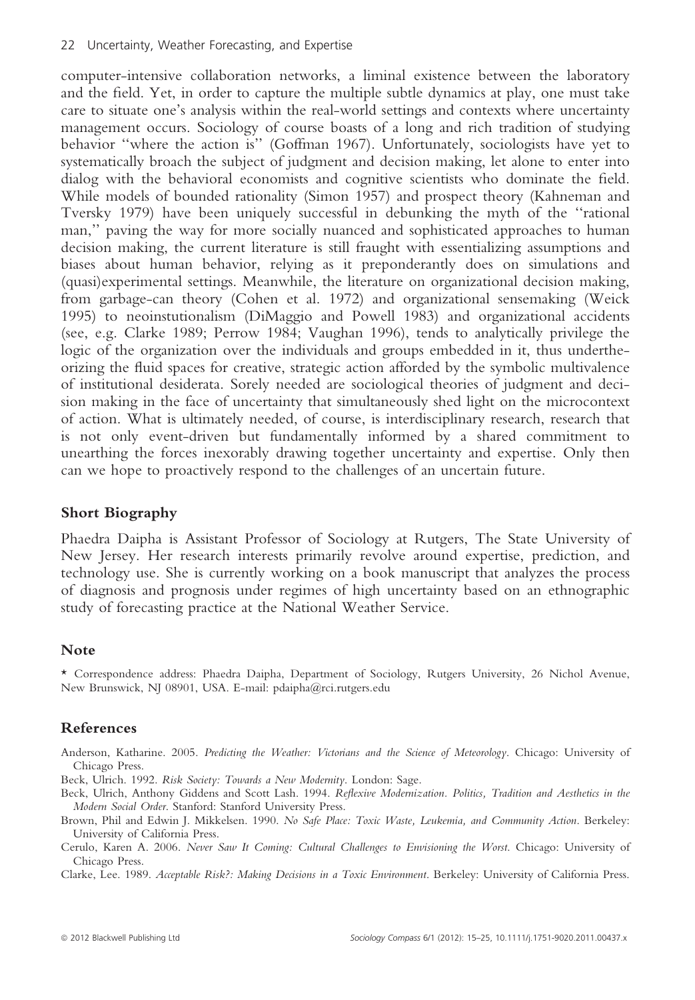computer-intensive collaboration networks, a liminal existence between the laboratory and the field. Yet, in order to capture the multiple subtle dynamics at play, one must take care to situate one's analysis within the real-world settings and contexts where uncertainty management occurs. Sociology of course boasts of a long and rich tradition of studying behavior ''where the action is'' (Goffman 1967). Unfortunately, sociologists have yet to systematically broach the subject of judgment and decision making, let alone to enter into dialog with the behavioral economists and cognitive scientists who dominate the field. While models of bounded rationality (Simon 1957) and prospect theory (Kahneman and Tversky 1979) have been uniquely successful in debunking the myth of the ''rational man,'' paving the way for more socially nuanced and sophisticated approaches to human decision making, the current literature is still fraught with essentializing assumptions and biases about human behavior, relying as it preponderantly does on simulations and (quasi)experimental settings. Meanwhile, the literature on organizational decision making, from garbage-can theory (Cohen et al. 1972) and organizational sensemaking (Weick 1995) to neoinstutionalism (DiMaggio and Powell 1983) and organizational accidents (see, e.g. Clarke 1989; Perrow 1984; Vaughan 1996), tends to analytically privilege the logic of the organization over the individuals and groups embedded in it, thus undertheorizing the fluid spaces for creative, strategic action afforded by the symbolic multivalence of institutional desiderata. Sorely needed are sociological theories of judgment and decision making in the face of uncertainty that simultaneously shed light on the microcontext of action. What is ultimately needed, of course, is interdisciplinary research, research that is not only event-driven but fundamentally informed by a shared commitment to unearthing the forces inexorably drawing together uncertainty and expertise. Only then can we hope to proactively respond to the challenges of an uncertain future.

# Short Biography

Phaedra Daipha is Assistant Professor of Sociology at Rutgers, The State University of New Jersey. Her research interests primarily revolve around expertise, prediction, and technology use. She is currently working on a book manuscript that analyzes the process of diagnosis and prognosis under regimes of high uncertainty based on an ethnographic study of forecasting practice at the National Weather Service.

# Note

\* Correspondence address: Phaedra Daipha, Department of Sociology, Rutgers University, 26 Nichol Avenue, New Brunswick, NJ 08901, USA. E-mail: pdaipha@rci.rutgers.edu

# References

Anderson, Katharine. 2005. Predicting the Weather: Victorians and the Science of Meteorology. Chicago: University of Chicago Press.

Beck, Ulrich. 1992. Risk Society: Towards a New Modernity. London: Sage.

Beck, Ulrich, Anthony Giddens and Scott Lash. 1994. Reflexive Modernization. Politics, Tradition and Aesthetics in the Modern Social Order. Stanford: Stanford University Press.

Brown, Phil and Edwin J. Mikkelsen. 1990. No Safe Place: Toxic Waste, Leukemia, and Community Action. Berkeley: University of California Press.

Cerulo, Karen A. 2006. Never Saw It Coming: Cultural Challenges to Envisioning the Worst. Chicago: University of Chicago Press.

Clarke, Lee. 1989. Acceptable Risk?: Making Decisions in a Toxic Environment. Berkeley: University of California Press.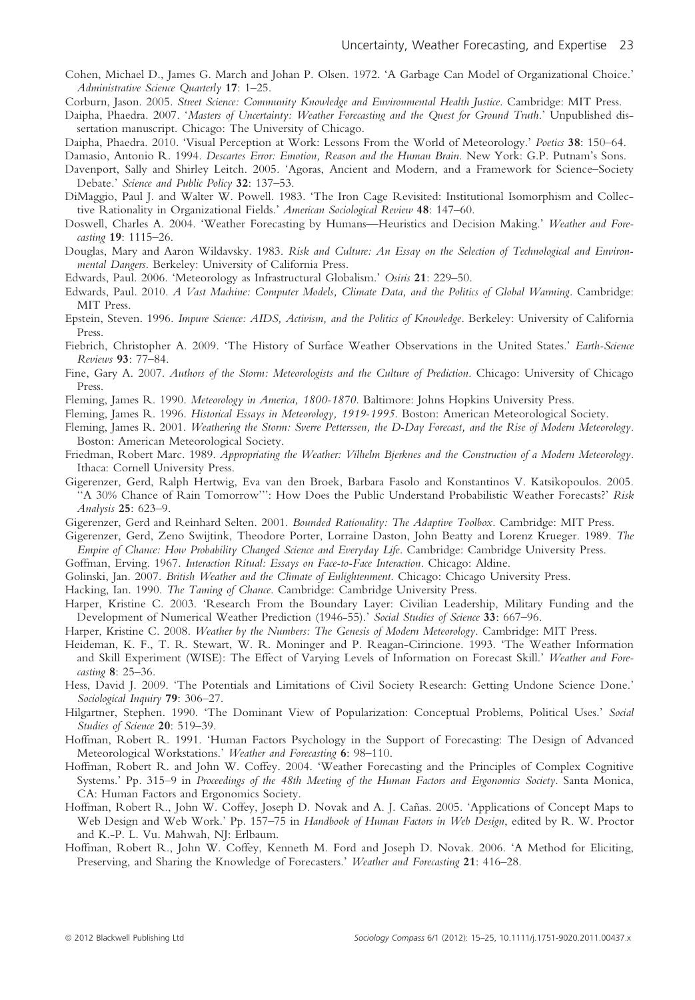- Cohen, Michael D., James G. March and Johan P. Olsen. 1972. 'A Garbage Can Model of Organizational Choice.' Administrative Science Quarterly 17: 1–25.
- Corburn, Jason. 2005. Street Science: Community Knowledge and Environmental Health Justice. Cambridge: MIT Press.
- Daipha, Phaedra. 2007. 'Masters of Uncertainty: Weather Forecasting and the Quest for Ground Truth.' Unpublished dissertation manuscript. Chicago: The University of Chicago.
- Daipha, Phaedra. 2010. 'Visual Perception at Work: Lessons From the World of Meteorology.' Poetics 38: 150–64.
- Damasio, Antonio R. 1994. Descartes Error: Emotion, Reason and the Human Brain. New York: G.P. Putnam's Sons.
- Davenport, Sally and Shirley Leitch. 2005. 'Agoras, Ancient and Modern, and a Framework for Science–Society Debate.' Science and Public Policy 32: 137–53.
- DiMaggio, Paul J. and Walter W. Powell. 1983. 'The Iron Cage Revisited: Institutional Isomorphism and Collective Rationality in Organizational Fields.' American Sociological Review 48: 147–60.
- Doswell, Charles A. 2004. 'Weather Forecasting by Humans—Heuristics and Decision Making.' Weather and Forecasting 19: 1115–26.
- Douglas, Mary and Aaron Wildavsky. 1983. Risk and Culture: An Essay on the Selection of Technological and Environmental Dangers. Berkeley: University of California Press.
- Edwards, Paul. 2006. 'Meteorology as Infrastructural Globalism.' Osiris 21: 229–50.
- Edwards, Paul. 2010. A Vast Machine: Computer Models, Climate Data, and the Politics of Global Warming. Cambridge: MIT Press.
- Epstein, Steven. 1996. Impure Science: AIDS, Activism, and the Politics of Knowledge. Berkeley: University of California Press.
- Fiebrich, Christopher A. 2009. 'The History of Surface Weather Observations in the United States.' Earth-Science Reviews 93: 77–84.
- Fine, Gary A. 2007. Authors of the Storm: Meteorologists and the Culture of Prediction. Chicago: University of Chicago Press.
- Fleming, James R. 1990. Meteorology in America, 1800-1870. Baltimore: Johns Hopkins University Press.
- Fleming, James R. 1996. Historical Essays in Meteorology, 1919-1995. Boston: American Meteorological Society.
- Fleming, James R. 2001. Weathering the Storm: Sverre Petterssen, the D-Day Forecast, and the Rise of Modern Meteorology. Boston: American Meteorological Society.
- Friedman, Robert Marc. 1989. Appropriating the Weather: Vilhelm Bjerknes and the Construction of a Modern Meteorology. Ithaca: Cornell University Press.
- Gigerenzer, Gerd, Ralph Hertwig, Eva van den Broek, Barbara Fasolo and Konstantinos V. Katsikopoulos. 2005. ''A 30% Chance of Rain Tomorrow''': How Does the Public Understand Probabilistic Weather Forecasts?' Risk Analysis 25: 623–9.
- Gigerenzer, Gerd and Reinhard Selten. 2001. Bounded Rationality: The Adaptive Toolbox. Cambridge: MIT Press.
- Gigerenzer, Gerd, Zeno Swijtink, Theodore Porter, Lorraine Daston, John Beatty and Lorenz Krueger. 1989. The Empire of Chance: How Probability Changed Science and Everyday Life. Cambridge: Cambridge University Press.
- Goffman, Erving. 1967. Interaction Ritual: Essays on Face-to-Face Interaction. Chicago: Aldine.
- Golinski, Jan. 2007. British Weather and the Climate of Enlightenment. Chicago: Chicago University Press.
- Hacking, Ian. 1990. The Taming of Chance. Cambridge: Cambridge University Press.
- Harper, Kristine C. 2003. 'Research From the Boundary Layer: Civilian Leadership, Military Funding and the Development of Numerical Weather Prediction (1946-55).' Social Studies of Science 33: 667–96.
- Harper, Kristine C. 2008. Weather by the Numbers: The Genesis of Modern Meteorology. Cambridge: MIT Press.
- Heideman, K. F., T. R. Stewart, W. R. Moninger and P. Reagan-Cirincione. 1993. 'The Weather Information and Skill Experiment (WISE): The Effect of Varying Levels of Information on Forecast Skill.' Weather and Forecasting 8: 25-36.
- Hess, David J. 2009. 'The Potentials and Limitations of Civil Society Research: Getting Undone Science Done.' Sociological Inquiry 79: 306–27.
- Hilgartner, Stephen. 1990. 'The Dominant View of Popularization: Conceptual Problems, Political Uses.' Social Studies of Science 20: 519-39.
- Hoffman, Robert R. 1991. 'Human Factors Psychology in the Support of Forecasting: The Design of Advanced Meteorological Workstations.' Weather and Forecasting 6: 98–110.
- Hoffman, Robert R. and John W. Coffey. 2004. 'Weather Forecasting and the Principles of Complex Cognitive Systems.' Pp. 315–9 in Proceedings of the 48th Meeting of the Human Factors and Ergonomics Society. Santa Monica, CA: Human Factors and Ergonomics Society.
- Hoffman, Robert R., John W. Coffey, Joseph D. Novak and A. J. Cañas. 2005. 'Applications of Concept Maps to Web Design and Web Work.' Pp. 157–75 in Handbook of Human Factors in Web Design, edited by R. W. Proctor and K.-P. L. Vu. Mahwah, NJ: Erlbaum.
- Hoffman, Robert R., John W. Coffey, Kenneth M. Ford and Joseph D. Novak. 2006. 'A Method for Eliciting, Preserving, and Sharing the Knowledge of Forecasters.' Weather and Forecasting 21: 416–28.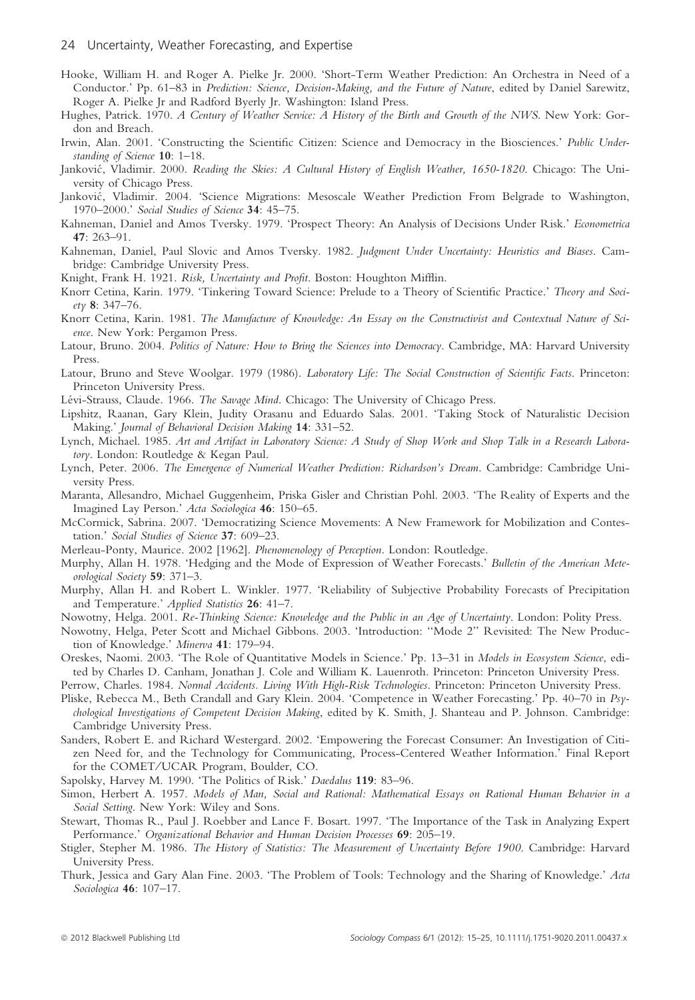- Hooke, William H. and Roger A. Pielke Jr. 2000. 'Short-Term Weather Prediction: An Orchestra in Need of a Conductor.' Pp. 61-83 in Prediction: Science, Decision-Making, and the Future of Nature, edited by Daniel Sarewitz, Roger A. Pielke Jr and Radford Byerly Jr. Washington: Island Press.
- Hughes, Patrick. 1970. A Century of Weather Service: A History of the Birth and Growth of the NWS. New York: Gordon and Breach.
- Irwin, Alan. 2001. 'Constructing the Scientific Citizen: Science and Democracy in the Biosciences.' Public Understanding of Science 10: 1-18.
- Janković, Vladimir. 2000. Reading the Skies: A Cultural History of English Weather, 1650-1820. Chicago: The University of Chicago Press.
- Janković, Vladimir. 2004. 'Science Migrations: Mesoscale Weather Prediction From Belgrade to Washington, 1970–2000.' Social Studies of Science 34: 45–75.
- Kahneman, Daniel and Amos Tversky. 1979. 'Prospect Theory: An Analysis of Decisions Under Risk.' Econometrica 47: 263–91.
- Kahneman, Daniel, Paul Slovic and Amos Tversky. 1982. Judgment Under Uncertainty: Heuristics and Biases. Cambridge: Cambridge University Press.
- Knight, Frank H. 1921. Risk, Uncertainty and Profit. Boston: Houghton Mifflin.
- Knorr Cetina, Karin. 1979. 'Tinkering Toward Science: Prelude to a Theory of Scientific Practice.' Theory and Society 8: 347–76.
- Knorr Cetina, Karin. 1981. The Manufacture of Knowledge: An Essay on the Constructivist and Contextual Nature of Science. New York: Pergamon Press.
- Latour, Bruno. 2004. Politics of Nature: How to Bring the Sciences into Democracy. Cambridge, MA: Harvard University Press.
- Latour, Bruno and Steve Woolgar. 1979 (1986). Laboratory Life: The Social Construction of Scientific Facts. Princeton: Princeton University Press.
- Lévi-Strauss, Claude. 1966. The Savage Mind. Chicago: The University of Chicago Press.
- Lipshitz, Raanan, Gary Klein, Judity Orasanu and Eduardo Salas. 2001. 'Taking Stock of Naturalistic Decision Making.' Journal of Behavioral Decision Making 14: 331–52.
- Lynch, Michael. 1985. Art and Artifact in Laboratory Science: A Study of Shop Work and Shop Talk in a Research Laboratory. London: Routledge & Kegan Paul.
- Lynch, Peter. 2006. The Emergence of Numerical Weather Prediction: Richardson's Dream. Cambridge: Cambridge University Press.
- Maranta, Allesandro, Michael Guggenheim, Priska Gisler and Christian Pohl. 2003. 'The Reality of Experts and the Imagined Lay Person.' Acta Sociologica 46: 150–65.
- McCormick, Sabrina. 2007. 'Democratizing Science Movements: A New Framework for Mobilization and Contestation.' Social Studies of Science 37: 609-23.
- Merleau-Ponty, Maurice. 2002 [1962]. Phenomenology of Perception. London: Routledge.
- Murphy, Allan H. 1978. 'Hedging and the Mode of Expression of Weather Forecasts.' Bulletin of the American Meteorological Society 59: 371–3.
- Murphy, Allan H. and Robert L. Winkler. 1977. 'Reliability of Subjective Probability Forecasts of Precipitation and Temperature.' Applied Statistics 26: 41–7.
- Nowotny, Helga. 2001. Re-Thinking Science: Knowledge and the Public in an Age of Uncertainty. London: Polity Press.
- Nowotny, Helga, Peter Scott and Michael Gibbons. 2003. 'Introduction: ''Mode 2'' Revisited: The New Production of Knowledge.' Minerva 41: 179–94.
- Oreskes, Naomi. 2003. 'The Role of Quantitative Models in Science.' Pp. 13–31 in Models in Ecosystem Science, edited by Charles D. Canham, Jonathan J. Cole and William K. Lauenroth. Princeton: Princeton University Press.
- Perrow, Charles. 1984. Normal Accidents. Living With High-Risk Technologies. Princeton: Princeton University Press.
- Pliske, Rebecca M., Beth Crandall and Gary Klein. 2004. 'Competence in Weather Forecasting.' Pp. 40–70 in Psychological Investigations of Competent Decision Making, edited by K. Smith, J. Shanteau and P. Johnson. Cambridge: Cambridge University Press.
- Sanders, Robert E. and Richard Westergard. 2002. 'Empowering the Forecast Consumer: An Investigation of Citizen Need for, and the Technology for Communicating, Process-Centered Weather Information.' Final Report for the COMET⁄ UCAR Program, Boulder, CO.
- Sapolsky, Harvey M. 1990. 'The Politics of Risk.' Daedalus 119: 83-96.
- Simon, Herbert A. 1957. Models of Man, Social and Rational: Mathematical Essays on Rational Human Behavior in a Social Setting. New York: Wiley and Sons.
- Stewart, Thomas R., Paul J. Roebber and Lance F. Bosart. 1997. 'The Importance of the Task in Analyzing Expert Performance.' Organizational Behavior and Human Decision Processes 69: 205–19.
- Stigler, Stepher M. 1986. The History of Statistics: The Measurement of Uncertainty Before 1900. Cambridge: Harvard University Press.
- Thurk, Jessica and Gary Alan Fine. 2003. 'The Problem of Tools: Technology and the Sharing of Knowledge.' Acta Sociologica 46: 107–17.